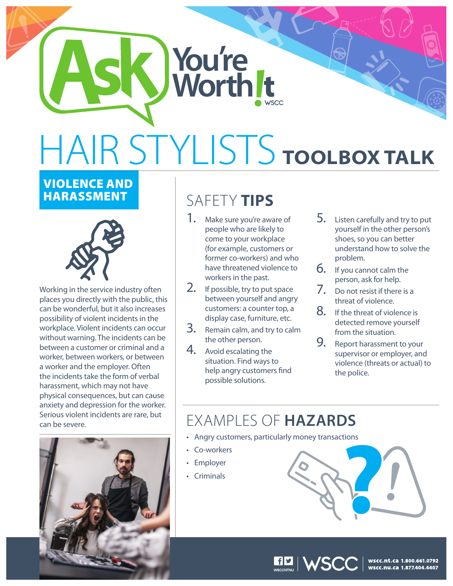## HAIR STYLISTS **TOOLBOX TALK**

**K** You're

## VIOLENCE AND



Working in the service industry often places you directly with the public, this can be wonderful, but it also increases possibility of violent incidents in the workplace. Violent incidents can occur without warning. The incidents can be between a customer or criminal and a worker, between workers, or between a worker and the employer. Often the incidents take the form of verbal harassment, which may not have physical consequences, but can cause anxiety and depression for the worker. Serious violent incidents are rare, but can be severe.



## **SAFETY TIPS**

- 1. Make sure you're aware of people who are likely to come to your workplace (for example, customers or former co-workers) and who have threatened violence to workers in the past.
- 2. If possible, try to put space between yourself and angry customers: a counter top, a display case, furniture, etc.
- 3. Remain calm, and try to calm the other person.
- 4. Avoid escalating the situation. Find ways to help angry customers find possible solutions.
- 5. Listen carefully and try to put yourself in the other person's shoes, so you can better understand how to solve the problem.
- 6. If you cannot calm the person, ask for help.
- 7. Do not resist if there is a threat of violence.
- $8.$  If the threat of violence is detected remove yourself from the situation.
- **9.** Report harassment to your supervisor or employer, and violence (threats or actual) to the police.

## EXAMPLES OF **HAZARDS**

- Angry customers, particularly money transactions
- • Co-workers
- Employer
- 



| wscc.nt.ca 1.800.661.0792<br>| wscc.nu.ca 1.877.404.4407

**HE | WSCC**